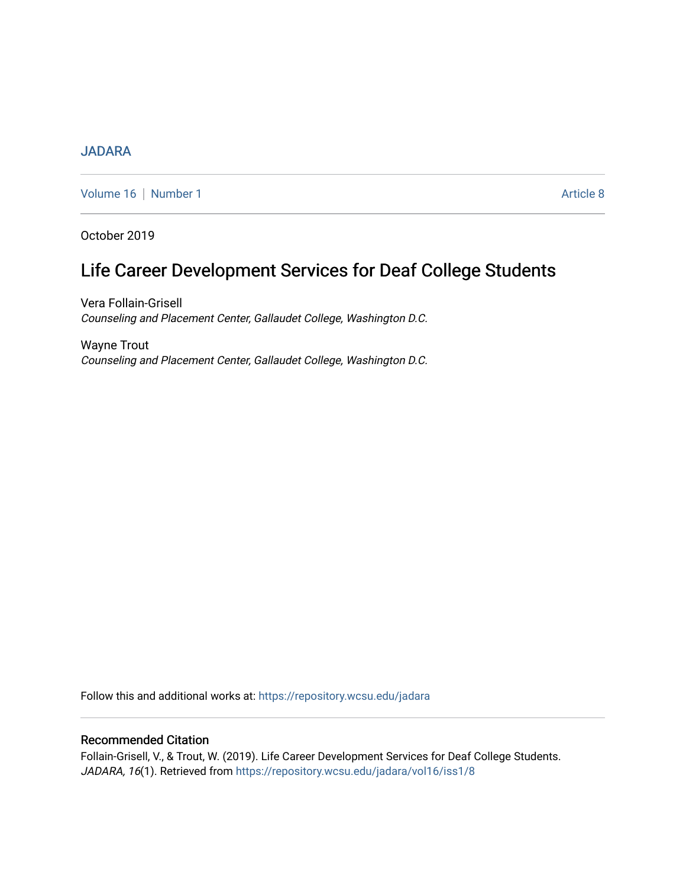# **[JADARA](https://repository.wcsu.edu/jadara)**

[Volume 16](https://repository.wcsu.edu/jadara/vol16) | [Number 1](https://repository.wcsu.edu/jadara/vol16/iss1) Article 8

October 2019

# Life Career Development Services for Deaf College Students

Vera Follain-Grisell Counseling and Placement Center, Gallaudet College, Washington D.C.

Wayne Trout Counseling and Placement Center, Gallaudet College, Washington D.C.

Follow this and additional works at: [https://repository.wcsu.edu/jadara](https://repository.wcsu.edu/jadara?utm_source=repository.wcsu.edu%2Fjadara%2Fvol16%2Fiss1%2F8&utm_medium=PDF&utm_campaign=PDFCoverPages)

# Recommended Citation

Follain-Grisell, V., & Trout, W. (2019). Life Career Development Services for Deaf College Students. JADARA, 16(1). Retrieved from [https://repository.wcsu.edu/jadara/vol16/iss1/8](https://repository.wcsu.edu/jadara/vol16/iss1/8?utm_source=repository.wcsu.edu%2Fjadara%2Fvol16%2Fiss1%2F8&utm_medium=PDF&utm_campaign=PDFCoverPages)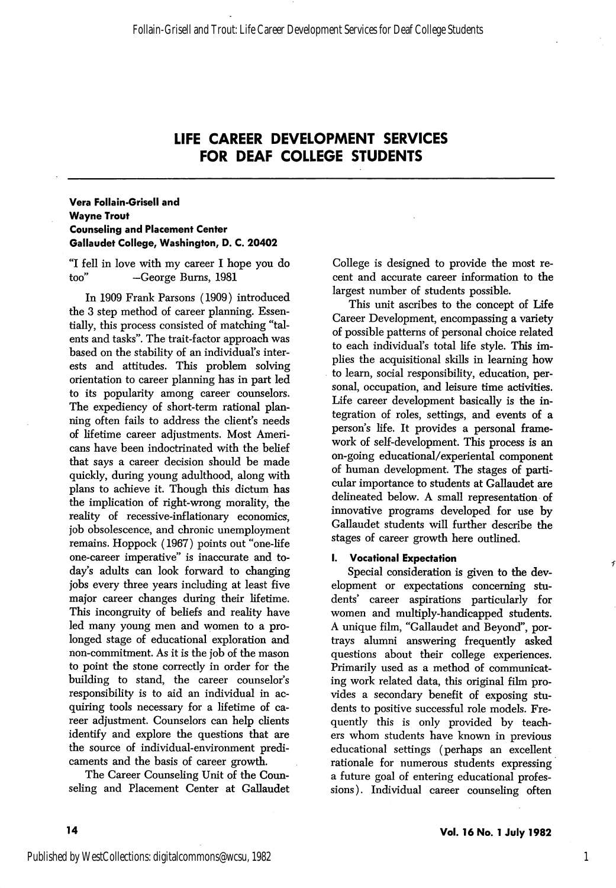# LIFE CAREER DEVELOPMENT SERVICES FOR DEAF COLLEGE STUDENTS

# Vera Follain-Grisell and Wayne Trout Counseling and Placement Center Gallaudet College, Washington, D. C. 20402

"I fell in love with my career I hope you do too'' —George Bums, 1981

In 1909 Frank Parsons (1909) introduced the 3 step method of career planning. Essen tially, this process consisted of matching "tal ents and tasks". The trait-factor approach was based on the stability of an individual's inter ests and attitudes. This problem solving orientation to career planning has in part led to its popularity among career counselors. The expediency of short-term rational plan ning often fails to address the client's needs of lifetime career adjustments. Most Ameri cans have been indoctrinated with the belief that says a career decision should be made quickly, during young adulthood, along with plans to achieve it. Though this dictum has the implication of right-wrong morality, the reality of recessive-inflationary economics, job obsolescence, and chronic unemployment remains. Hoppock (1967) points out "one-life one-career imperative" is inaccurate and to day's adults can look forward to changing jobs every three years including at least five major career changes during their lifetime. This incongruity of beliefs and reality have led many young men and women to a pro longed stage of educational exploration and non-commitment. As it is the job of the mason to point the stone correctly in order for the building to stand, the career counselor's responsibility is to aid an individual in ac quiring tools necessary for a lifetime of ca reer adjustment. Counselors can help clients identify and explore the questions that are the source of individual-environment predi caments and the basis of career growth.

The Career Counseling Unit of the Coun seling and Placement Center at Callaudet College is designed to provide the most re cent and accurate career information to the largest number of students possible.

This unit ascribes to the concept of Life Career Development, encompassing a variety of possible patterns of personal choice related to each individual's total life style. This im plies the acquisitional skills in learning how to learn, social responsibility, education, per sonal, occupation, and leisure time activities. Life career development basically is the in tegration of roles, settings, and events of a person's life. It provides a personal frame work of self-development. This process is an on-going educational/experiental component of human development. The stages of parti cular importance to students at Callaudet are delineated below. A small representation of innovative programs developed for use by Callaudet students will further describe the stages of career growth here outlined.

#### I. Vocational Expectation

Special consideration is given to the dev elopment or expectations concerning stu dents' career aspirations particularly for women and multiply-handicapped students. A unique film, "Callaudet and Beyond", por trays alumni answering frequently asked questions about their college experiences. Primarily used as a method of communicat ing work related data, this original film pro vides a secondary benefit of exposing stu dents to positive successful role models. Fre quently this is only provided by teach ers whom students have known in previous educational settings (perhaps an excellent rationale for numerous students expressing a future goal of entering educational profes sions ). Individual career counseling often

 $\mathcal{F}$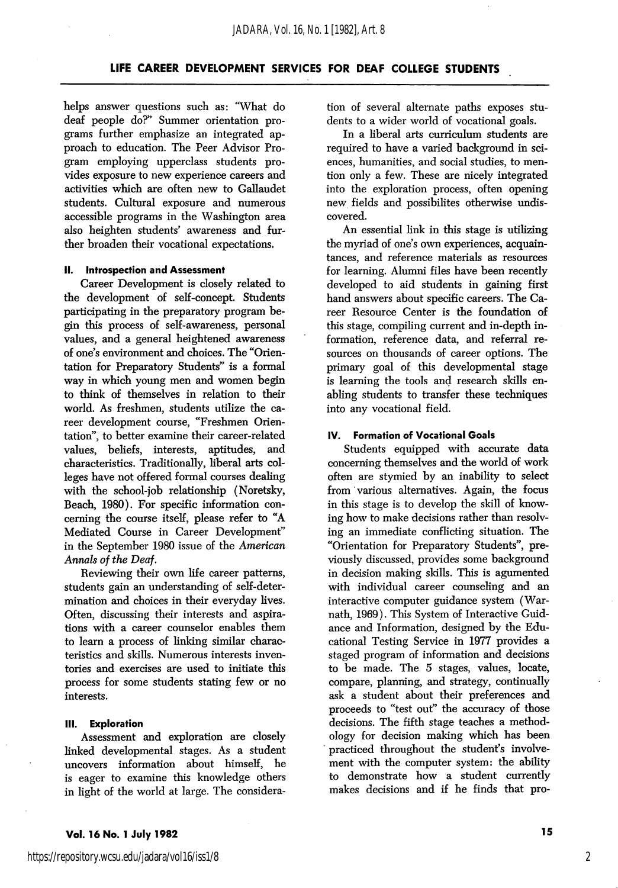# LIFE CAREER DEVELOPMENT SERVICES FOR DEAF COLLEGE STUDENTS

helps answer questions such as: "What do deaf people do?'' Summer orientation pro grams further emphasize an integrated ap proach to education. The Peer Advisor Pro gram employing upperclass students pro vides exposure to new experience careers and activities which are often new to Gallaudet students. Cultural exposure and numerous accessible programs in the Washington area also heighten students' awareness and fur ther broaden their vocational expectations.

#### II. Introspection and Assessment

Career Development is closely related to the development of self-concept. Students participating in the preparatory program be gin this process of self-awareness, personal values, and a general heightened awareness of one's environment and choices. The "Orien tation for Preparatory Students" is a formal way in which young men and women begin to think of themselves in relation to their world. As freshmen, students utilize the ca reer development course, "Freshmen Orien tation", to better examine their career-related values, beliefs, interests, aptitudes, and characteristics. Traditionally, liberal arts col leges have not offered formal courses dealing with the school-job relationship (Noretsky, Beach, 1980). For specific information con cerning the course itself, please refer to "A Mediated Course in Career Development" in the September 1980 issue of the American Annals of the Deaf.

Reviewing their own life career patterns, students gain an understanding of self-deter mination and choices in their everyday lives. Often, discussing their interests and aspira tions with a career counselor enables them to leam a process of linking similar charac teristics and skills. Numerous interests inven tories and exercises are used to initiate this process for some students stating few or no interests.

#### III. Exploration

Assessment and exploration are closely linked developmental stages. As a student uncovers information about himself, he is eager to examine this knowledge others in light of the world at large. The considera

tion of several alternate paths exposes stu dents to a wider world of vocational goals.

In a liberal arts curriculum students are required to have a varied background in sci ences, humanities, and social studies, to men tion only a few. These are nicely integrated into the exploration process, often opening new fields and possibilites otherwise undis covered.

An essential link in this stage is utilizing the myriad of one's own experiences, acquain tances, and reference materials as resources for learning. Alumni files have been recently developed to aid students in gaining first hand answers about specific careers. The Ca reer Resource Center is the foundation of this stage, compiling current and in-depth in formation, reference data, and referral re sources on thousands of career options. The primary goal of this developmental stage is learning the tools and research skills en abling students to transfer these techniques into any vocational field.

#### IV. Formation of Vocational Goals

Students equipped with accurate data concerning themselves and the world of work often are stymied by an inability to select from various alternatives. Again, the focus in this stage is to develop the skill of know ing how to make decisions rather than resolv ing an immediate conflicting situation. The "Orientation for Preparatory Students", pre viously discussed, provides some background in decision making skills. This is agumented with individual career counseling and an interactive computer guidance system (Warnath, 1969). This System of Interactive Guid ance and Information, designed by the Edu cational Testing Service in 1977 provides a staged program of information and decisions to be made. The 5 stages, values, locate, compare, planning, and strategy, continually ask a student about their preferences and proceeds to "test out" the accuracy of those decisions. The fifth stage teaches a method ology for decision making which has been practiced throughout the student's involve ment with the computer system: the ability to demonstrate how a student currently makes decisions and if he finds that pro-

2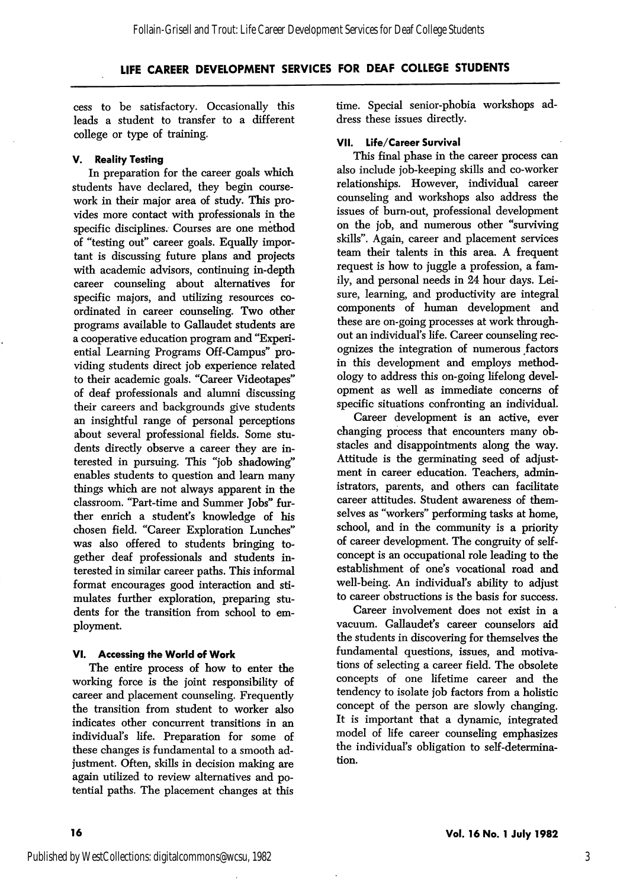# LIFE CAREER DEVELOPMENT SERVICES FOR DEAF COLLEGE STUDENTS

cess to be satisfactory. Occasionally this leads a student to transfer to a different college or type of training.

### V. Reality Testing

In preparation for the career goals which students have declared, they begin coursework in their major area of study. This pro vides more contact with professionals in the specific disciplines. Courses are one method of "testing out" career goals. Equally impor tant is discussing future plans and projects with academic advisors, continuing in-depth career counseling about alternatives for specific majors, and utilizing resources co ordinated in career counseling. Two other programs available to Gallaudet students are a cooperative education program and "Experi ential Learning Programs Off-Campus" pro viding students direct job experience related to their academic goals. "Career Videotapes" of deaf professionals and alumni discussing their careers and backgrounds give students an insightful range of personal perceptions about several professional fields. Some stu dents directly observe a career they are in terested in pursuing. This "job shadowing" enables students to question and learn many things which are not always apparent in the classroom. "Part-time and Summer Jobs" fur ther enrich a student's knowledge of his chosen field. "Career Exploration Lunches" was also offered to students bringing to gether deaf professionals and students in terested in similar career paths. This informal format encourages good interaction and sti mulates further exploration, preparing stu dents for the transition from school to em ployment.

# VI. Accessing the World of Work

The entire process of how to enter the working force is the joint responsibility of career and placement counseling. Frequently the transition from student to worker also indicates other concurrent transitions in an individual's life. Preparation for some of these changes is fundamental to a smooth ad justment. Often, skills in decision making are again utilized to review alternatives and po tential paths. The placement changes at this

time. Special senior-phobia workshops ad dress these issues directly.

## VII. Life/Career Survival

This final phase in the career process can also include job-keeping skills and co-worker relationships. However, individual career counseling and workshops also address the issues of burn-out, professional development on the job, and numerous other "surviving skills". Again, career and placement services team their talents in this area. A frequent request is how to juggle a profession, a fam ily, and personal needs in 24 hour days. Lei sure, learning, and productivity are integral components of human development and these are on-going processes at work through out an individual's life. Career counseling rec ognizes the integration of numerous factors in this development and employs method ology to address this on-going lifelong devel opment as well as immediate concerns of specific situations confronting an individual.

Career development is an active, ever changing process that encounters many ob stacles and disappointments along the way. Attitude is the germinating seed of adjustment in career education. Teachers, admin istrators, parents, and others can facilitate career attitudes. Student awareness of them selves as "workers" performing tasks at home, school, and in the community is a priority of career development. The congruity of selfconcept is an occupational role leading to the establishment of one's vocational road and well-being. An individual's ability to adjust to career obstructions is the basis for success.

Career involvement does not exist in a vacuum. Gallaudet's career counselors aid the students in discovering for themselves the fundamental questions, issues, and motiva tions of selecting a career field. The obsolete concepts of one lifetime career and the tendency to isolate job factors from a holistic concept of the person are slowly changing. It is important that a dynamic, integrated model of life career counseling emphasizes the individual's obligation to self-determina tion.